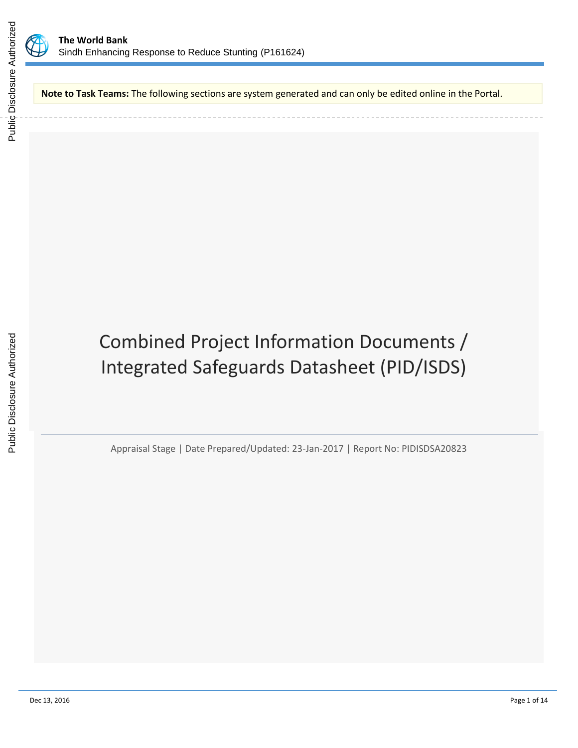



**Note to Task Teams:** The following sections are system generated and can only be edited online in the Portal.

# Combined Project Information Documents / Integrated Safeguards Datasheet (PID/ISDS)

Appraisal Stage | Date Prepared/Updated: 23-Jan-2017 | Report No: PIDISDSA20823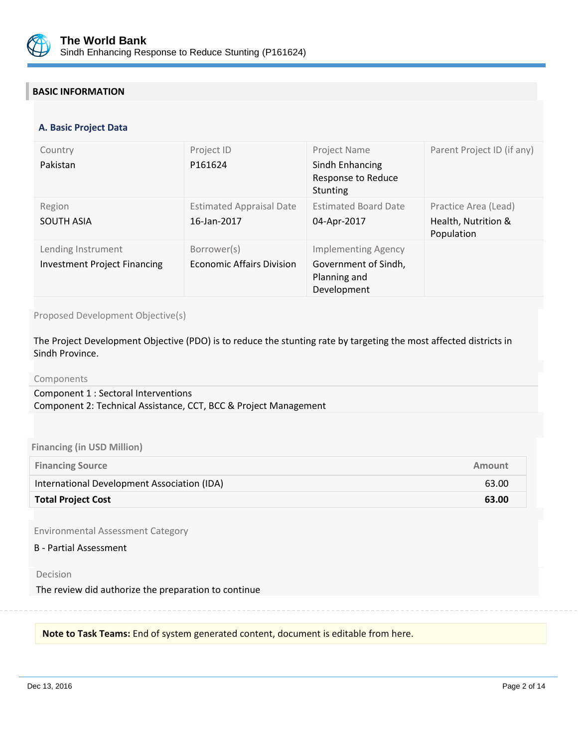

# **BASIC INFORMATION**

#### **OPS\_TABLE\_BASIC\_DATA A. Basic Project Data**

| Country<br>Pakistan                                       | Project ID<br>P161624                           | Project Name<br>Sindh Enhancing<br>Response to Reduce<br><b>Stunting</b>          | Parent Project ID (if any)                                |
|-----------------------------------------------------------|-------------------------------------------------|-----------------------------------------------------------------------------------|-----------------------------------------------------------|
| Region<br><b>SOUTH ASIA</b>                               | <b>Estimated Appraisal Date</b><br>16-Jan-2017  | <b>Estimated Board Date</b><br>04-Apr-2017                                        | Practice Area (Lead)<br>Health, Nutrition &<br>Population |
| Lending Instrument<br><b>Investment Project Financing</b> | Borrower(s)<br><b>Economic Affairs Division</b> | <b>Implementing Agency</b><br>Government of Sindh,<br>Planning and<br>Development |                                                           |

Proposed Development Objective(s)

The Project Development Objective (PDO) is to reduce the stunting rate by targeting the most affected districts in Sindh Province.

Components

Component 1 : Sectoral Interventions Component 2: Technical Assistance, CCT, BCC & Project Management

#### **Financing (in USD Million)**

| <b>Financing Source</b>                     | Amount |
|---------------------------------------------|--------|
| International Development Association (IDA) | 63.00  |
| <b>Total Project Cost</b>                   | 63.00  |

Environmental Assessment Category

B - Partial Assessment

Decision

The review did authorize the preparation to continue

**Note to Task Teams:** End of system generated content, document is editable from here.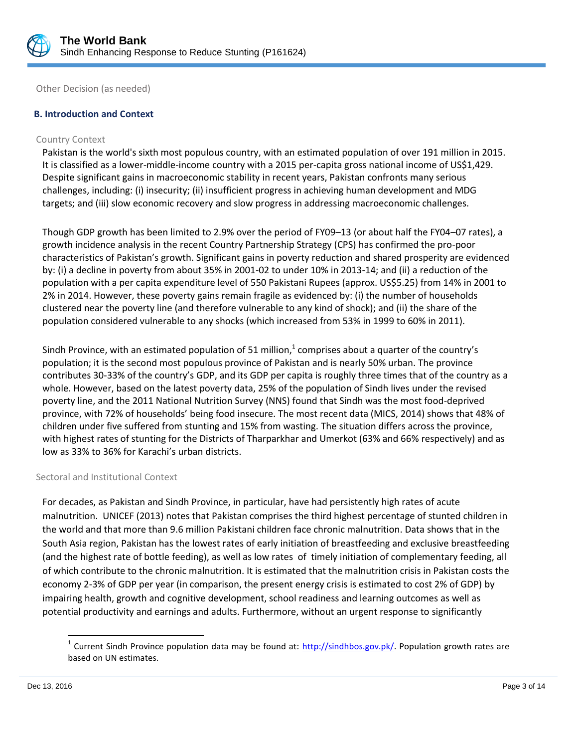

Other Decision (as needed)

# **B. Introduction and Context**

#### Country Context

Pakistan is the world's sixth most populous country, with an estimated population of over 191 million in 2015. It is classified as a lower-middle-income country with a 2015 per-capita gross national income of US\$1,429. Despite significant gains in macroeconomic stability in recent years, Pakistan confronts many serious challenges, including: (i) insecurity; (ii) insufficient progress in achieving human development and MDG targets; and (iii) slow economic recovery and slow progress in addressing macroeconomic challenges.

Though GDP growth has been limited to 2.9% over the period of FY09–13 (or about half the FY04–07 rates), a growth incidence analysis in the recent Country Partnership Strategy (CPS) has confirmed the pro-poor characteristics of Pakistan's growth. Significant gains in poverty reduction and shared prosperity are evidenced by: (i) a decline in poverty from about 35% in 2001-02 to under 10% in 2013-14; and (ii) a reduction of the population with a per capita expenditure level of 550 Pakistani Rupees (approx. US\$5.25) from 14% in 2001 to 2% in 2014. However, these poverty gains remain fragile as evidenced by: (i) the number of households clustered near the poverty line (and therefore vulnerable to any kind of shock); and (ii) the share of the population considered vulnerable to any shocks (which increased from 53% in 1999 to 60% in 2011).

Sindh Province, with an estimated population of 51 million, $^{1}$  comprises about a quarter of the country's population; it is the second most populous province of Pakistan and is nearly 50% urban. The province contributes 30-33% of the country's GDP, and its GDP per capita is roughly three times that of the country as a whole. However, based on the latest poverty data, 25% of the population of Sindh lives under the revised poverty line, and the 2011 National Nutrition Survey (NNS) found that Sindh was the most food-deprived province, with 72% of households' being food insecure. The most recent data (MICS, 2014) shows that 48% of children under five suffered from stunting and 15% from wasting. The situation differs across the province, with highest rates of stunting for the Districts of Tharparkhar and Umerkot (63% and 66% respectively) and as low as 33% to 36% for Karachi's urban districts.

#### Sectoral and Institutional Context

For decades, as Pakistan and Sindh Province, in particular, have had persistently high rates of acute malnutrition. UNICEF (2013) notes that Pakistan comprises the third highest percentage of stunted children in the world and that more than 9.6 million Pakistani children face chronic malnutrition. Data shows that in the South Asia region, Pakistan has the lowest rates of early initiation of breastfeeding and exclusive breastfeeding (and the highest rate of bottle feeding), as well as low rates of timely initiation of complementary feeding, all of which contribute to the chronic malnutrition. It is estimated that the malnutrition crisis in Pakistan costs the economy 2-3% of GDP per year (in comparison, the present energy crisis is estimated to cost 2% of GDP) by impairing health, growth and cognitive development, school readiness and learning outcomes as well as potential productivity and earnings and adults. Furthermore, without an urgent response to significantly

 $\overline{\phantom{a}}$ 

<sup>&</sup>lt;sup>1</sup> Current Sindh Province population data may be found at: [http://sindhbos.gov.pk/.](http://sindhbos.gov.pk/) Population growth rates are based on UN estimates.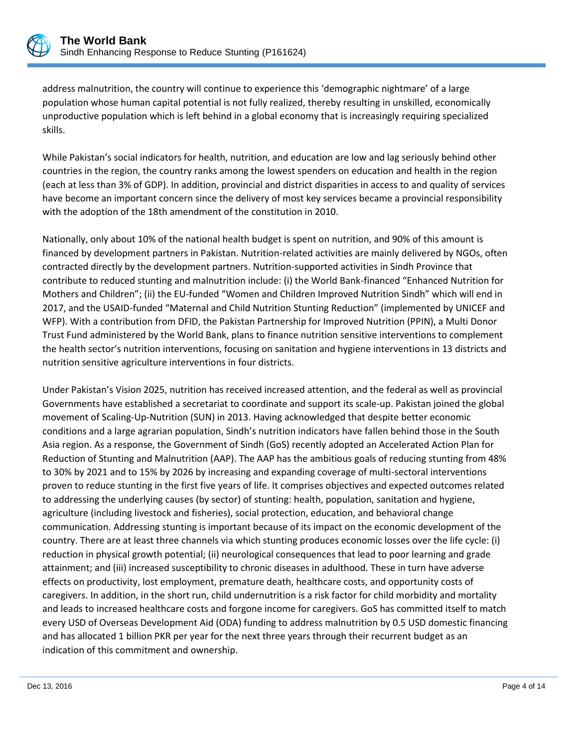

address malnutrition, the country will continue to experience this 'demographic nightmare' of a large population whose human capital potential is not fully realized, thereby resulting in unskilled, economically unproductive population which is left behind in a global economy that is increasingly requiring specialized skills.

While Pakistan's social indicators for health, nutrition, and education are low and lag seriously behind other countries in the region, the country ranks among the lowest spenders on education and health in the region (each at less than 3% of GDP). In addition, provincial and district disparities in access to and quality of services have become an important concern since the delivery of most key services became a provincial responsibility with the adoption of the 18th amendment of the constitution in 2010.

Nationally, only about 10% of the national health budget is spent on nutrition, and 90% of this amount is financed by development partners in Pakistan. Nutrition-related activities are mainly delivered by NGOs, often contracted directly by the development partners. Nutrition-supported activities in Sindh Province that contribute to reduced stunting and malnutrition include: (i) the World Bank-financed "Enhanced Nutrition for Mothers and Children"; (ii) the EU-funded "Women and Children Improved Nutrition Sindh" which will end in 2017, and the USAID-funded "Maternal and Child Nutrition Stunting Reduction" (implemented by UNICEF and WFP). With a contribution from DFID, the Pakistan Partnership for Improved Nutrition (PPIN), a Multi Donor Trust Fund administered by the World Bank, plans to finance nutrition sensitive interventions to complement the health sector's nutrition interventions, focusing on sanitation and hygiene interventions in 13 districts and nutrition sensitive agriculture interventions in four districts.

Under Pakistan's Vision 2025, nutrition has received increased attention, and the federal as well as provincial Governments have established a secretariat to coordinate and support its scale-up. Pakistan joined the global movement of Scaling-Up-Nutrition (SUN) in 2013. Having acknowledged that despite better economic conditions and a large agrarian population, Sindh's nutrition indicators have fallen behind those in the South Asia region. As a response, the Government of Sindh (GoS) recently adopted an Accelerated Action Plan for Reduction of Stunting and Malnutrition (AAP). The AAP has the ambitious goals of reducing stunting from 48% to 30% by 2021 and to 15% by 2026 by increasing and expanding coverage of multi-sectoral interventions proven to reduce stunting in the first five years of life. It comprises objectives and expected outcomes related to addressing the underlying causes (by sector) of stunting: health, population, sanitation and hygiene, agriculture (including livestock and fisheries), social protection, education, and behavioral change communication. Addressing stunting is important because of its impact on the economic development of the country. There are at least three channels via which stunting produces economic losses over the life cycle: (i) reduction in physical growth potential; (ii) neurological consequences that lead to poor learning and grade attainment; and (iii) increased susceptibility to chronic diseases in adulthood. These in turn have adverse effects on productivity, lost employment, premature death, healthcare costs, and opportunity costs of caregivers. In addition, in the short run, child undernutrition is a risk factor for child morbidity and mortality and leads to increased healthcare costs and forgone income for caregivers. GoS has committed itself to match every USD of Overseas Development Aid (ODA) funding to address malnutrition by 0.5 USD domestic financing and has allocated 1 billion PKR per year for the next three years through their recurrent budget as an indication of this commitment and ownership.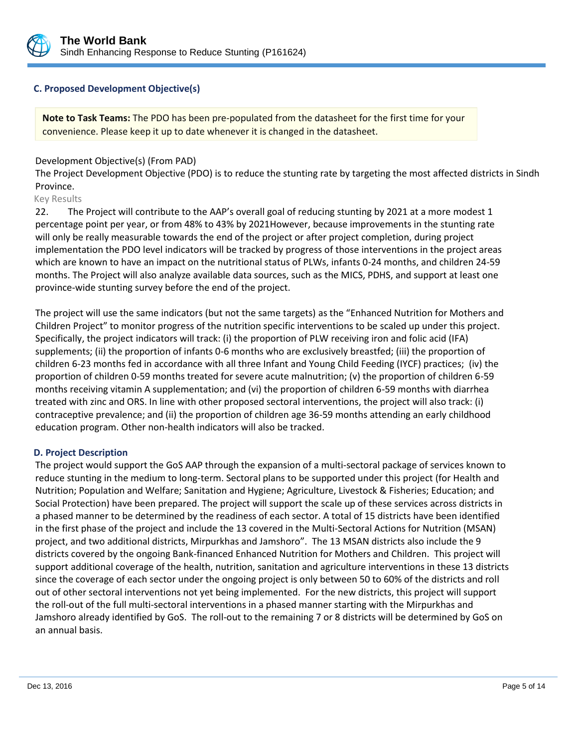

# **C. Proposed Development Objective(s)**

**Note to Task Teams:** The PDO has been pre-populated from the datasheet for the first time for your convenience. Please keep it up to date whenever it is changed in the datasheet.

# Development Objective(s) (From PAD)

The Project Development Objective (PDO) is to reduce the stunting rate by targeting the most affected districts in Sindh Province.

#### Key Results

22. The Project will contribute to the AAP's overall goal of reducing stunting by 2021 at a more modest 1 percentage point per year, or from 48% to 43% by 2021However, because improvements in the stunting rate will only be really measurable towards the end of the project or after project completion, during project implementation the PDO level indicators will be tracked by progress of those interventions in the project areas which are known to have an impact on the nutritional status of PLWs, infants 0-24 months, and children 24-59 months. The Project will also analyze available data sources, such as the MICS, PDHS, and support at least one province-wide stunting survey before the end of the project.

The project will use the same indicators (but not the same targets) as the "Enhanced Nutrition for Mothers and Children Project" to monitor progress of the nutrition specific interventions to be scaled up under this project. Specifically, the project indicators will track: (i) the proportion of PLW receiving iron and folic acid (IFA) supplements; (ii) the proportion of infants 0-6 months who are exclusively breastfed; (iii) the proportion of children 6-23 months fed in accordance with all three Infant and Young Child Feeding (IYCF) practices; (iv) the proportion of children 0-59 months treated for severe acute malnutrition; (v) the proportion of children 6-59 months receiving vitamin A supplementation; and (vi) the proportion of children 6-59 months with diarrhea treated with zinc and ORS. In line with other proposed sectoral interventions, the project will also track: (i) contraceptive prevalence; and (ii) the proportion of children age 36-59 months attending an early childhood education program. Other non-health indicators will also be tracked.

#### **D. Project Description**

The project would support the GoS AAP through the expansion of a multi-sectoral package of services known to reduce stunting in the medium to long-term. Sectoral plans to be supported under this project (for Health and Nutrition; Population and Welfare; Sanitation and Hygiene; Agriculture, Livestock & Fisheries; Education; and Social Protection) have been prepared. The project will support the scale up of these services across districts in a phased manner to be determined by the readiness of each sector. A total of 15 districts have been identified in the first phase of the project and include the 13 covered in the Multi-Sectoral Actions for Nutrition (MSAN) project, and two additional districts, Mirpurkhas and Jamshoro". The 13 MSAN districts also include the 9 districts covered by the ongoing Bank-financed Enhanced Nutrition for Mothers and Children. This project will support additional coverage of the health, nutrition, sanitation and agriculture interventions in these 13 districts since the coverage of each sector under the ongoing project is only between 50 to 60% of the districts and roll out of other sectoral interventions not yet being implemented. For the new districts, this project will support the roll-out of the full multi-sectoral interventions in a phased manner starting with the Mirpurkhas and Jamshoro already identified by GoS. The roll-out to the remaining 7 or 8 districts will be determined by GoS on an annual basis.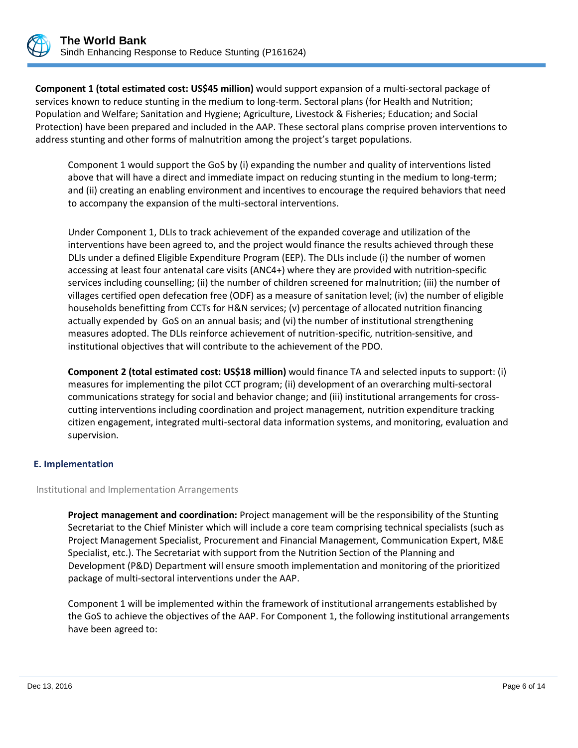

**Component 1 (total estimated cost: US\$45 million)** would support expansion of a multi-sectoral package of services known to reduce stunting in the medium to long-term. Sectoral plans (for Health and Nutrition; Population and Welfare; Sanitation and Hygiene; Agriculture, Livestock & Fisheries; Education; and Social Protection) have been prepared and included in the AAP. These sectoral plans comprise proven interventions to address stunting and other forms of malnutrition among the project's target populations.

Component 1 would support the GoS by (i) expanding the number and quality of interventions listed above that will have a direct and immediate impact on reducing stunting in the medium to long-term; and (ii) creating an enabling environment and incentives to encourage the required behaviors that need to accompany the expansion of the multi-sectoral interventions.

Under Component 1, DLIs to track achievement of the expanded coverage and utilization of the interventions have been agreed to, and the project would finance the results achieved through these DLIs under a defined Eligible Expenditure Program (EEP). The DLIs include (i) the number of women accessing at least four antenatal care visits (ANC4+) where they are provided with nutrition-specific services including counselling; (ii) the number of children screened for malnutrition; (iii) the number of villages certified open defecation free (ODF) as a measure of sanitation level; (iv) the number of eligible households benefitting from CCTs for H&N services; (v) percentage of allocated nutrition financing actually expended by GoS on an annual basis; and (vi) the number of institutional strengthening measures adopted. The DLIs reinforce achievement of nutrition-specific, nutrition-sensitive, and institutional objectives that will contribute to the achievement of the PDO.

**Component 2 (total estimated cost: US\$18 million)** would finance TA and selected inputs to support: (i) measures for implementing the pilot CCT program; (ii) development of an overarching multi-sectoral communications strategy for social and behavior change; and (iii) institutional arrangements for crosscutting interventions including coordination and project management, nutrition expenditure tracking citizen engagement, integrated multi-sectoral data information systems, and monitoring, evaluation and supervision.

# **E. Implementation**

#### Institutional and Implementation Arrangements

**Project management and coordination:** Project management will be the responsibility of the Stunting Secretariat to the Chief Minister which will include a core team comprising technical specialists (such as Project Management Specialist, Procurement and Financial Management, Communication Expert, M&E Specialist, etc.). The Secretariat with support from the Nutrition Section of the Planning and Development (P&D) Department will ensure smooth implementation and monitoring of the prioritized package of multi-sectoral interventions under the AAP.

Component 1 will be implemented within the framework of institutional arrangements established by the GoS to achieve the objectives of the AAP. For Component 1, the following institutional arrangements have been agreed to: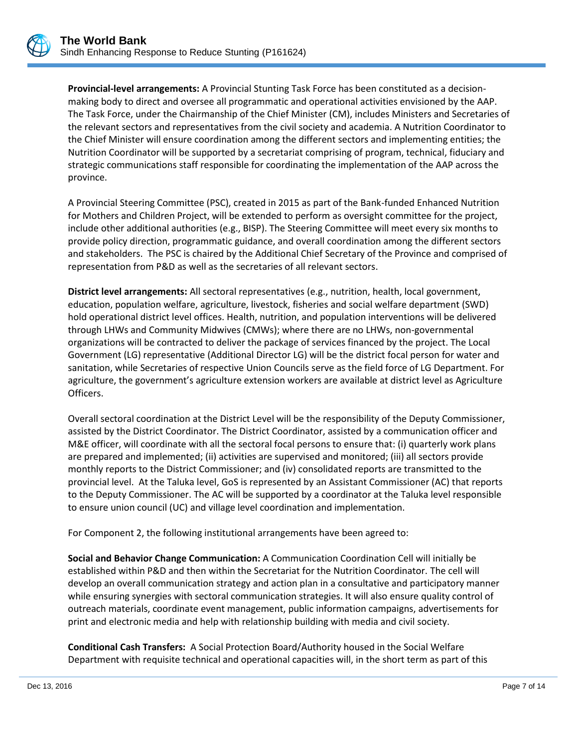**Provincial-level arrangements:** A Provincial Stunting Task Force has been constituted as a decisionmaking body to direct and oversee all programmatic and operational activities envisioned by the AAP. The Task Force, under the Chairmanship of the Chief Minister (CM), includes Ministers and Secretaries of the relevant sectors and representatives from the civil society and academia. A Nutrition Coordinator to the Chief Minister will ensure coordination among the different sectors and implementing entities; the Nutrition Coordinator will be supported by a secretariat comprising of program, technical, fiduciary and strategic communications staff responsible for coordinating the implementation of the AAP across the province.

A Provincial Steering Committee (PSC), created in 2015 as part of the Bank-funded Enhanced Nutrition for Mothers and Children Project, will be extended to perform as oversight committee for the project, include other additional authorities (e.g., BISP). The Steering Committee will meet every six months to provide policy direction, programmatic guidance, and overall coordination among the different sectors and stakeholders. The PSC is chaired by the Additional Chief Secretary of the Province and comprised of representation from P&D as well as the secretaries of all relevant sectors.

**District level arrangements:** All sectoral representatives (e.g., nutrition, health, local government, education, population welfare, agriculture, livestock, fisheries and social welfare department (SWD) hold operational district level offices. Health, nutrition, and population interventions will be delivered through LHWs and Community Midwives (CMWs); where there are no LHWs, non-governmental organizations will be contracted to deliver the package of services financed by the project. The Local Government (LG) representative (Additional Director LG) will be the district focal person for water and sanitation, while Secretaries of respective Union Councils serve as the field force of LG Department. For agriculture, the government's agriculture extension workers are available at district level as Agriculture Officers.

Overall sectoral coordination at the District Level will be the responsibility of the Deputy Commissioner, assisted by the District Coordinator. The District Coordinator, assisted by a communication officer and M&E officer, will coordinate with all the sectoral focal persons to ensure that: (i) quarterly work plans are prepared and implemented; (ii) activities are supervised and monitored; (iii) all sectors provide monthly reports to the District Commissioner; and (iv) consolidated reports are transmitted to the provincial level. At the Taluka level, GoS is represented by an Assistant Commissioner (AC) that reports to the Deputy Commissioner. The AC will be supported by a coordinator at the Taluka level responsible to ensure union council (UC) and village level coordination and implementation.

For Component 2, the following institutional arrangements have been agreed to:

**Social and Behavior Change Communication:** A Communication Coordination Cell will initially be established within P&D and then within the Secretariat for the Nutrition Coordinator. The cell will develop an overall communication strategy and action plan in a consultative and participatory manner while ensuring synergies with sectoral communication strategies. It will also ensure quality control of outreach materials, coordinate event management, public information campaigns, advertisements for print and electronic media and help with relationship building with media and civil society.

**Conditional Cash Transfers:** A Social Protection Board/Authority housed in the Social Welfare Department with requisite technical and operational capacities will, in the short term as part of this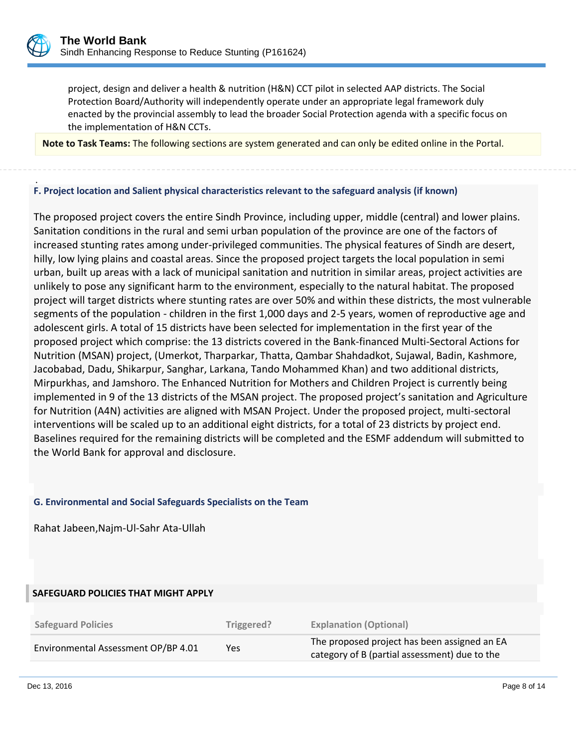

project, design and deliver a health & nutrition (H&N) CCT pilot in selected AAP districts. The Social Protection Board/Authority will independently operate under an appropriate legal framework duly enacted by the provincial assembly to lead the broader Social Protection agenda with a specific focus on the implementation of H&N CCTs.

**Note to Task Teams:** The following sections are system generated and can only be edited online in the Portal.

#### . **F. Project location and Salient physical characteristics relevant to the safeguard analysis (if known)**

The proposed project covers the entire Sindh Province, including upper, middle (central) and lower plains. Sanitation conditions in the rural and semi urban population of the province are one of the factors of increased stunting rates among under-privileged communities. The physical features of Sindh are desert, hilly, low lying plains and coastal areas. Since the proposed project targets the local population in semi urban, built up areas with a lack of municipal sanitation and nutrition in similar areas, project activities are unlikely to pose any significant harm to the environment, especially to the natural habitat. The proposed project will target districts where stunting rates are over 50% and within these districts, the most vulnerable segments of the population - children in the first 1,000 days and 2-5 years, women of reproductive age and adolescent girls. A total of 15 districts have been selected for implementation in the first year of the proposed project which comprise: the 13 districts covered in the Bank-financed Multi-Sectoral Actions for Nutrition (MSAN) project, (Umerkot, Tharparkar, Thatta, Qambar Shahdadkot, Sujawal, Badin, Kashmore, Jacobabad, Dadu, Shikarpur, Sanghar, Larkana, Tando Mohammed Khan) and two additional districts, Mirpurkhas, and Jamshoro. The Enhanced Nutrition for Mothers and Children Project is currently being implemented in 9 of the 13 districts of the MSAN project. The proposed project's sanitation and Agriculture for Nutrition (A4N) activities are aligned with MSAN Project. Under the proposed project, multi-sectoral interventions will be scaled up to an additional eight districts, for a total of 23 districts by project end. Baselines required for the remaining districts will be completed and the ESMF addendum will submitted to the World Bank for approval and disclosure.

#### **G. Environmental and Social Safeguards Specialists on the Team**

Rahat Jabeen,Najm-Ul-Sahr Ata-Ullah

#### **SAFEGUARD POLICIES THAT MIGHT APPLY**

| <b>Safeguard Policies</b>           | Triggered? | <b>Explanation (Optional)</b>                                                                 |
|-------------------------------------|------------|-----------------------------------------------------------------------------------------------|
| Environmental Assessment OP/BP 4.01 | Yes        | The proposed project has been assigned an EA<br>category of B (partial assessment) due to the |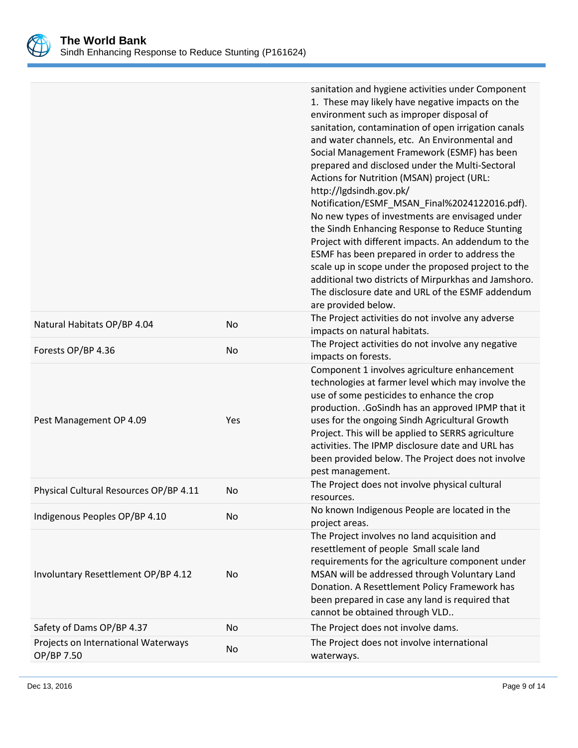

|                                        |           | sanitation and hygiene activities under Component<br>1. These may likely have negative impacts on the    |
|----------------------------------------|-----------|----------------------------------------------------------------------------------------------------------|
|                                        |           | environment such as improper disposal of<br>sanitation, contamination of open irrigation canals          |
|                                        |           | and water channels, etc. An Environmental and                                                            |
|                                        |           | Social Management Framework (ESMF) has been                                                              |
|                                        |           | prepared and disclosed under the Multi-Sectoral                                                          |
|                                        |           | Actions for Nutrition (MSAN) project (URL:                                                               |
|                                        |           | http://lgdsindh.gov.pk/                                                                                  |
|                                        |           | Notification/ESMF_MSAN_Final%2024122016.pdf).<br>No new types of investments are envisaged under         |
|                                        |           | the Sindh Enhancing Response to Reduce Stunting                                                          |
|                                        |           | Project with different impacts. An addendum to the                                                       |
|                                        |           | ESMF has been prepared in order to address the                                                           |
|                                        |           | scale up in scope under the proposed project to the                                                      |
|                                        |           | additional two districts of Mirpurkhas and Jamshoro.<br>The disclosure date and URL of the ESMF addendum |
|                                        |           | are provided below.                                                                                      |
| Natural Habitats OP/BP 4.04            | No        | The Project activities do not involve any adverse                                                        |
|                                        |           | impacts on natural habitats.<br>The Project activities do not involve any negative                       |
| Forests OP/BP 4.36                     | <b>No</b> | impacts on forests.                                                                                      |
|                                        |           | Component 1 involves agriculture enhancement                                                             |
|                                        |           | technologies at farmer level which may involve the<br>use of some pesticides to enhance the crop         |
|                                        |           | production. . GoSindh has an approved IPMP that it                                                       |
| Pest Management OP 4.09                | Yes       | uses for the ongoing Sindh Agricultural Growth                                                           |
|                                        |           | Project. This will be applied to SERRS agriculture                                                       |
|                                        |           | activities. The IPMP disclosure date and URL has                                                         |
|                                        |           | been provided below. The Project does not involve                                                        |
|                                        |           | pest management.<br>The Project does not involve physical cultural                                       |
| Physical Cultural Resources OP/BP 4.11 | No.       | resources.                                                                                               |
| Indigenous Peoples OP/BP 4.10          | No        | No known Indigenous People are located in the<br>project areas.                                          |
|                                        |           | The Project involves no land acquisition and                                                             |
|                                        |           | resettlement of people Small scale land                                                                  |
| Involuntary Resettlement OP/BP 4.12    |           | requirements for the agriculture component under<br>MSAN will be addressed through Voluntary Land        |
|                                        | No        | Donation. A Resettlement Policy Framework has                                                            |
|                                        |           | been prepared in case any land is required that                                                          |
|                                        |           | cannot be obtained through VLD                                                                           |
| Safety of Dams OP/BP 4.37              | No        | The Project does not involve dams.                                                                       |
| Projects on International Waterways    | No        | The Project does not involve international                                                               |
| OP/BP 7.50                             |           | waterways.                                                                                               |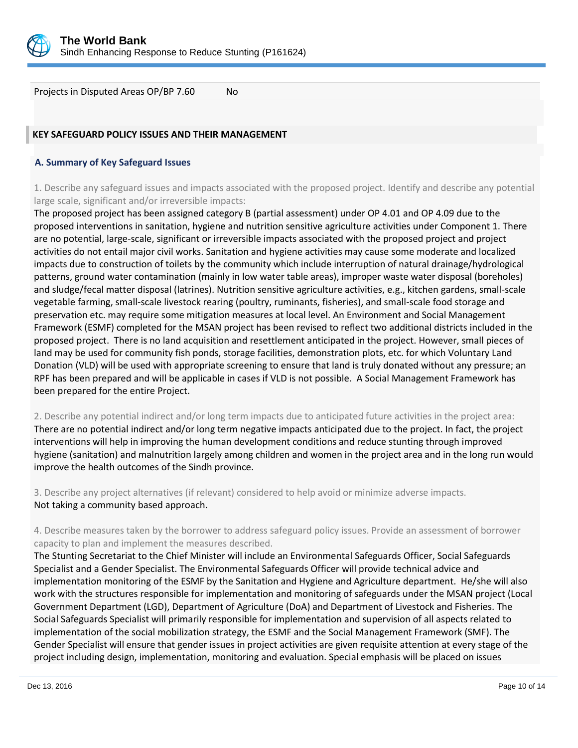

Projects in Disputed Areas OP/BP 7.60 No

# **KEY SAFEGUARD POLICY ISSUES AND THEIR MANAGEMENT**

#### **A. Summary of Key Safeguard Issues**

1. Describe any safeguard issues and impacts associated with the proposed project. Identify and describe any potential large scale, significant and/or irreversible impacts:

The proposed project has been assigned category B (partial assessment) under OP 4.01 and OP 4.09 due to the proposed interventions in sanitation, hygiene and nutrition sensitive agriculture activities under Component 1. There are no potential, large-scale, significant or irreversible impacts associated with the proposed project and project activities do not entail major civil works. Sanitation and hygiene activities may cause some moderate and localized impacts due to construction of toilets by the community which include interruption of natural drainage/hydrological patterns, ground water contamination (mainly in low water table areas), improper waste water disposal (boreholes) and sludge/fecal matter disposal (latrines). Nutrition sensitive agriculture activities, e.g., kitchen gardens, small-scale vegetable farming, small-scale livestock rearing (poultry, ruminants, fisheries), and small-scale food storage and preservation etc. may require some mitigation measures at local level. An Environment and Social Management Framework (ESMF) completed for the MSAN project has been revised to reflect two additional districts included in the proposed project. There is no land acquisition and resettlement anticipated in the project. However, small pieces of land may be used for community fish ponds, storage facilities, demonstration plots, etc. for which Voluntary Land Donation (VLD) will be used with appropriate screening to ensure that land is truly donated without any pressure; an RPF has been prepared and will be applicable in cases if VLD is not possible. A Social Management Framework has been prepared for the entire Project.

2. Describe any potential indirect and/or long term impacts due to anticipated future activities in the project area: There are no potential indirect and/or long term negative impacts anticipated due to the project. In fact, the project interventions will help in improving the human development conditions and reduce stunting through improved hygiene (sanitation) and malnutrition largely among children and women in the project area and in the long run would improve the health outcomes of the Sindh province.

3. Describe any project alternatives (if relevant) considered to help avoid or minimize adverse impacts. Not taking a community based approach.

4. Describe measures taken by the borrower to address safeguard policy issues. Provide an assessment of borrower capacity to plan and implement the measures described.

The Stunting Secretariat to the Chief Minister will include an Environmental Safeguards Officer, Social Safeguards Specialist and a Gender Specialist. The Environmental Safeguards Officer will provide technical advice and implementation monitoring of the ESMF by the Sanitation and Hygiene and Agriculture department. He/she will also work with the structures responsible for implementation and monitoring of safeguards under the MSAN project (Local Government Department (LGD), Department of Agriculture (DoA) and Department of Livestock and Fisheries. The Social Safeguards Specialist will primarily responsible for implementation and supervision of all aspects related to implementation of the social mobilization strategy, the ESMF and the Social Management Framework (SMF). The Gender Specialist will ensure that gender issues in project activities are given requisite attention at every stage of the project including design, implementation, monitoring and evaluation. Special emphasis will be placed on issues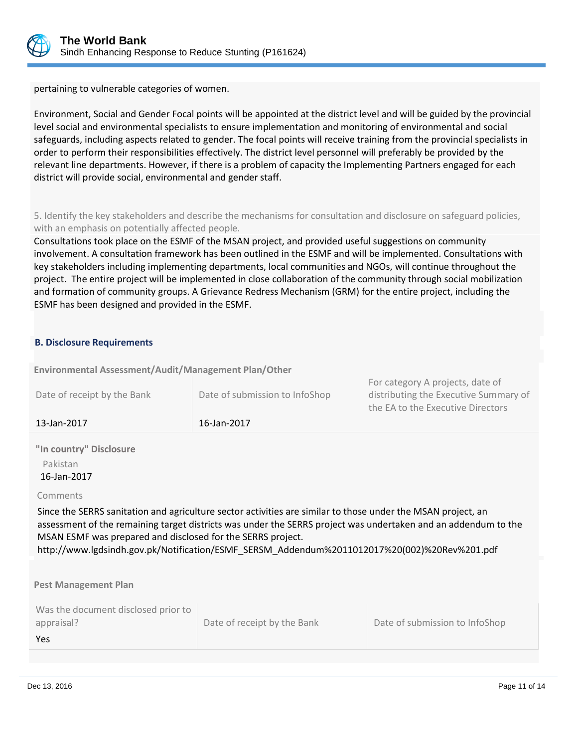

pertaining to vulnerable categories of women.

Environment, Social and Gender Focal points will be appointed at the district level and will be guided by the provincial level social and environmental specialists to ensure implementation and monitoring of environmental and social safeguards, including aspects related to gender. The focal points will receive training from the provincial specialists in order to perform their responsibilities effectively. The district level personnel will preferably be provided by the relevant line departments. However, if there is a problem of capacity the Implementing Partners engaged for each district will provide social, environmental and gender staff.

5. Identify the key stakeholders and describe the mechanisms for consultation and disclosure on safeguard policies, with an emphasis on potentially affected people.

Consultations took place on the ESMF of the MSAN project, and provided useful suggestions on community involvement. A consultation framework has been outlined in the ESMF and will be implemented. Consultations with key stakeholders including implementing departments, local communities and NGOs, will continue throughout the project. The entire project will be implemented in close collaboration of the community through social mobilization and formation of community groups. A Grievance Redress Mechanism (GRM) for the entire project, including the ESMF has been designed and provided in the ESMF.

# **B. Disclosure Requirements**

**Environmental Assessment/Audit/Management Plan/Other** 

| Date of receipt by the Bank | Date of submission to InfoShop | For category A projects, date of<br>distributing the Executive Summary of |
|-----------------------------|--------------------------------|---------------------------------------------------------------------------|
|                             |                                | the EA to the Executive Directors                                         |
| 13-Jan-2017                 | 16-Jan-2017                    |                                                                           |

**"In country" Disclosure** Pakistan 16-Jan-2017

#### Comments

Since the SERRS sanitation and agriculture sector activities are similar to those under the MSAN project, an assessment of the remaining target districts was under the SERRS project was undertaken and an addendum to the MSAN ESMF was prepared and disclosed for the SERRS project.

http://www.lgdsindh.gov.pk/Notification/ESMF\_SERSM\_Addendum%2011012017%20(002)%20Rev%201.pdf

**Pest Management Plan**

| Was the document disclosed prior to |                             |                                |
|-------------------------------------|-----------------------------|--------------------------------|
| appraisal?                          | Date of receipt by the Bank | Date of submission to InfoShop |
| Yes                                 |                             |                                |
|                                     |                             |                                |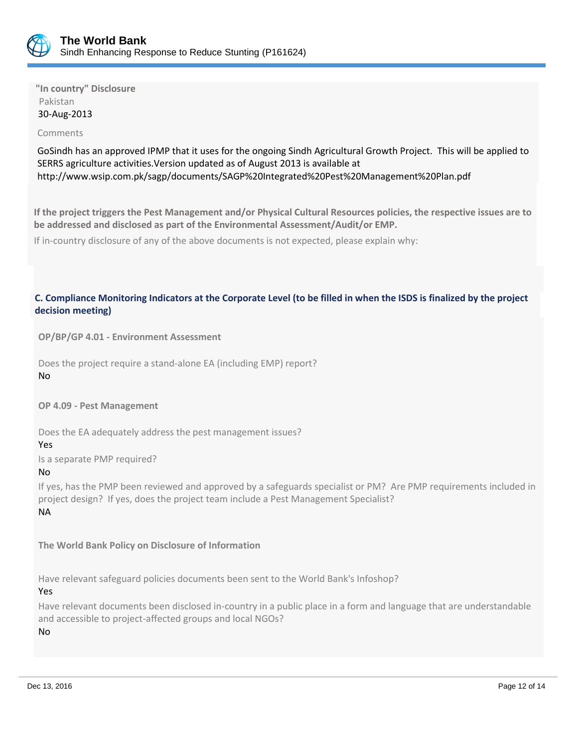

**"In country" Disclosure** Pakistan 30-Aug-2013

#### Comments

GoSindh has an approved IPMP that it uses for the ongoing Sindh Agricultural Growth Project. This will be applied to SERRS agriculture activities.Version updated as of August 2013 is available at http://www.wsip.com.pk/sagp/documents/SAGP%20Integrated%20Pest%20Management%20Plan.pdf

**If the project triggers the Pest Management and/or Physical Cultural Resources policies, the respective issues are to be addressed and disclosed as part of the Environmental Assessment/Audit/or EMP.**

If in-country disclosure of any of the above documents is not expected, please explain why:

#### **C. Compliance Monitoring Indicators at the Corporate Level (to be filled in when the ISDS is finalized by the project decision meeting)**

**OP/BP/GP 4.01 - Environment Assessment** 

Does the project require a stand-alone EA (including EMP) report?

No

**OP 4.09 - Pest Management**

Does the EA adequately address the pest management issues?

#### Yes

Is a separate PMP required?

#### No

If yes, has the PMP been reviewed and approved by a safeguards specialist or PM? Are PMP requirements included in project design? If yes, does the project team include a Pest Management Specialist? NA

**The World Bank Policy on Disclosure of Information**

Have relevant safeguard policies documents been sent to the World Bank's Infoshop?

Yes

Have relevant documents been disclosed in-country in a public place in a form and language that are understandable and accessible to project-affected groups and local NGOs?

No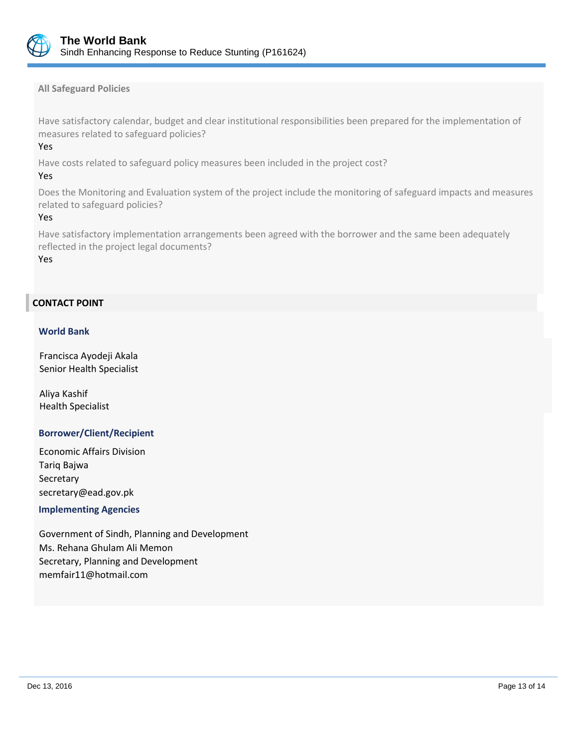

**All Safeguard Policies**

Have satisfactory calendar, budget and clear institutional responsibilities been prepared for the implementation of measures related to safeguard policies?

#### Yes

Have costs related to safeguard policy measures been included in the project cost?

#### Yes

Does the Monitoring and Evaluation system of the project include the monitoring of safeguard impacts and measures related to safeguard policies?

#### Yes

Have satisfactory implementation arrangements been agreed with the borrower and the same been adequately reflected in the project legal documents?

Yes

# **CONTACT POINT**

#### **World Bank**

Francisca Ayodeji Akala Senior Health Specialist

Aliya Kashif Health Specialist

#### **Borrower/Client/Recipient**

Economic Affairs Division Tariq Bajwa Secretary secretary@ead.gov.pk

#### **Implementing Agencies**

Government of Sindh, Planning and Development Ms. Rehana Ghulam Ali Memon Secretary, Planning and Development memfair11@hotmail.com